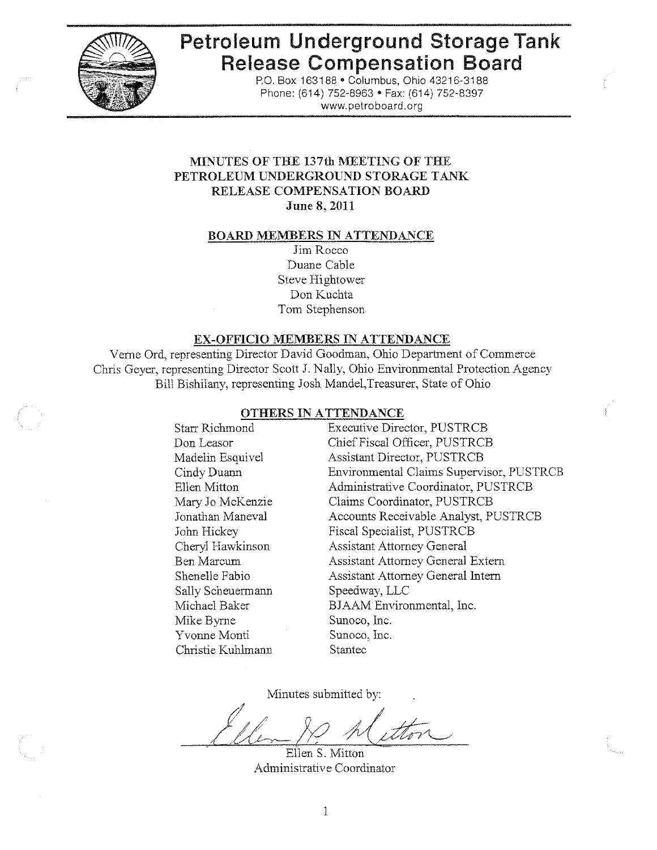

# Petroleum Underground Storage Tank **Release Compensation Board**

P.O. Box 163188 . Columbus, Ohio 43216-3188 Phone: (614) 752-8963 • Fax: (614) 752-8397 www.petroboard.org

#### MINUTES OF THE 137th MEETING OF THE PETROLEUM UNDERGROUND STORAGE TANK RELEASE COMPENSATION BOARD June 8, 2011

#### **BOARD MEMBERS IN ATTENDANCE**

Jim Rocco Duane Cable Steve Hightower Don Kuchta Tom Stephenson

#### EX-OFFICIO MEMBERS IN ATTENDANCE

Verne Ord, representing Director David Goodman, Ohio Department of Commerce Chris Geyer, representing Director Scott J. Nally, Ohio Environmental Protection Agency Bill Bishilany, representing Josh Mandel, Treasurer, State of Ohio

#### OTHERS IN ATTENDANCE

Starr Richmond Don Leasor Madelin Esquivel Cindy Duann Ellen Mitton Mary Jo McKenzie Jonathan Maneval John Hickey Cheryl Hawkinson **Ben Marcum** Shenelle Fabio Sally Scheuermann Michael Baker Mike Byrne Sunoco, Inc. Yvonne Monti Sunoco, Inc. Christie Kuhlmann Stantec

**Executive Director, PUSTRCB** Chief Fiscal Officer, PUSTRCB Assistant Director, PUSTRCB Environmental Claims Supervisor, PUSTRCB Administrative Coordinator, PUSTRCB Claims Coordinator, PUSTRCB Accounts Receivable Analyst, PUSTRCB Fiscal Specialist, PUSTRCB **Assistant Attorney General Assistant Attorney General Extern** Assistant Attorney General Intern Speedway, LLC BJAAM Environmental, Inc.

Minutes submitted by:

Ellen S. Mitton Administrative Coordinator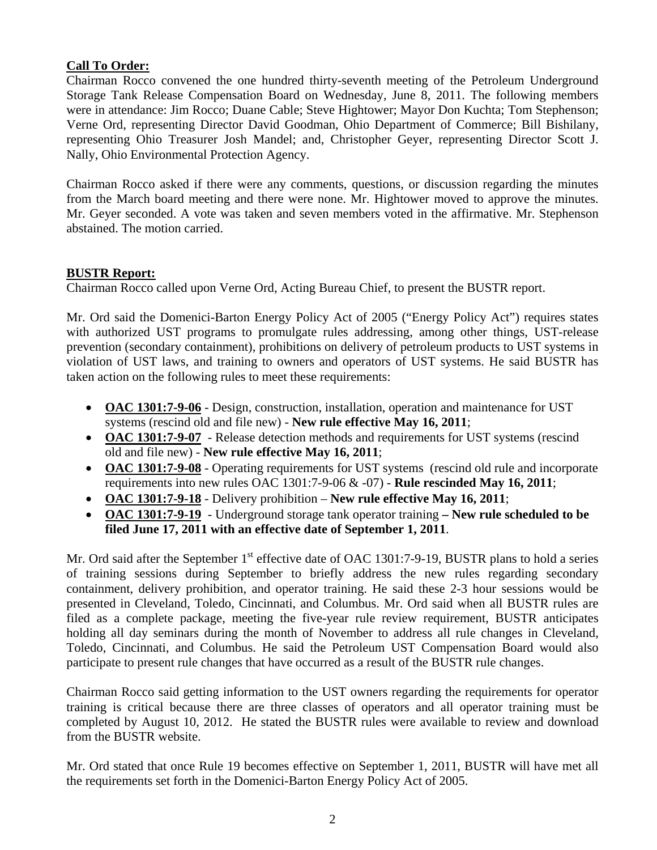## **Call To Order:**

Chairman Rocco convened the one hundred thirty-seventh meeting of the Petroleum Underground Storage Tank Release Compensation Board on Wednesday, June 8, 2011. The following members were in attendance: Jim Rocco; Duane Cable; Steve Hightower; Mayor Don Kuchta; Tom Stephenson; Verne Ord, representing Director David Goodman, Ohio Department of Commerce; Bill Bishilany, representing Ohio Treasurer Josh Mandel; and, Christopher Geyer, representing Director Scott J. Nally, Ohio Environmental Protection Agency.

Chairman Rocco asked if there were any comments, questions, or discussion regarding the minutes from the March board meeting and there were none. Mr. Hightower moved to approve the minutes. Mr. Geyer seconded. A vote was taken and seven members voted in the affirmative. Mr. Stephenson abstained. The motion carried.

## **BUSTR Report:**

Chairman Rocco called upon Verne Ord, Acting Bureau Chief, to present the BUSTR report.

Mr. Ord said the Domenici-Barton Energy Policy Act of 2005 ("Energy Policy Act") requires states with authorized UST programs to promulgate rules addressing, among other things, UST-release prevention (secondary containment), prohibitions on delivery of petroleum products to UST systems in violation of UST laws, and training to owners and operators of UST systems. He said BUSTR has taken action on the following rules to meet these requirements:

- **OAC 1301:7-9-06** Design, construction, installation, operation and maintenance for UST systems (rescind old and file new) - **New rule effective May 16, 2011**;
- **OAC 1301:7-9-07**  Release detection methods and requirements for UST systems (rescind old and file new) - **New rule effective May 16, 2011**;
- **OAC 1301:7-9-08** Operating requirements for UST systems (rescind old rule and incorporate requirements into new rules OAC 1301:7-9-06 & -07) - **Rule rescinded May 16, 2011**;
- **OAC 1301:7-9-18** Delivery prohibition **New rule effective May 16, 2011**;
- **OAC 1301:7-9-19** Underground storage tank operator training  **New rule scheduled to be filed June 17, 2011 with an effective date of September 1, 2011**.

Mr. Ord said after the September 1<sup>st</sup> effective date of OAC 1301:7-9-19, BUSTR plans to hold a series of training sessions during September to briefly address the new rules regarding secondary containment, delivery prohibition, and operator training. He said these 2-3 hour sessions would be presented in Cleveland, Toledo, Cincinnati, and Columbus. Mr. Ord said when all BUSTR rules are filed as a complete package, meeting the five-year rule review requirement, BUSTR anticipates holding all day seminars during the month of November to address all rule changes in Cleveland, Toledo, Cincinnati, and Columbus. He said the Petroleum UST Compensation Board would also participate to present rule changes that have occurred as a result of the BUSTR rule changes.

Chairman Rocco said getting information to the UST owners regarding the requirements for operator training is critical because there are three classes of operators and all operator training must be completed by August 10, 2012. He stated the BUSTR rules were available to review and download from the BUSTR website.

Mr. Ord stated that once Rule 19 becomes effective on September 1, 2011, BUSTR will have met all the requirements set forth in the Domenici-Barton Energy Policy Act of 2005.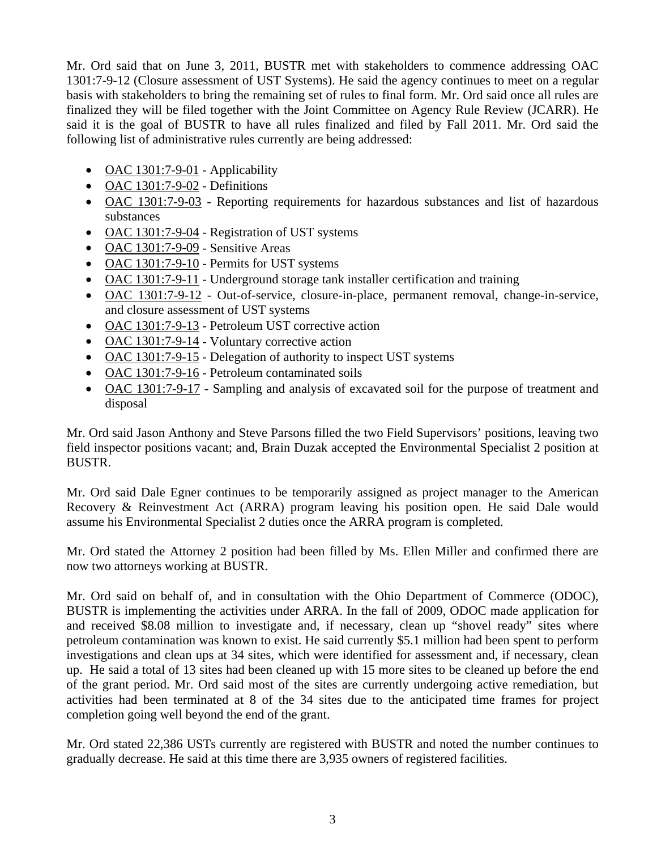Mr. Ord said that on June 3, 2011, BUSTR met with stakeholders to commence addressing OAC 1301:7-9-12 (Closure assessment of UST Systems). He said the agency continues to meet on a regular basis with stakeholders to bring the remaining set of rules to final form. Mr. Ord said once all rules are finalized they will be filed together with the Joint Committee on Agency Rule Review (JCARR). He said it is the goal of BUSTR to have all rules finalized and filed by Fall 2011. Mr. Ord said the following list of administrative rules currently are being addressed:

- OAC  $1301:7-9-01$  Applicability
- OAC 1301:7-9-02 Definitions
- OAC 1301:7-9-03 Reporting requirements for hazardous substances and list of hazardous substances
- OAC 1301:7-9-04 Registration of UST systems
- OAC 1301:7-9-09 Sensitive Areas
- OAC 1301:7-9-10 Permits for UST systems
- OAC 1301:7-9-11 Underground storage tank installer certification and training
- OAC 1301:7-9-12 Out-of-service, closure-in-place, permanent removal, change-in-service, and closure assessment of UST systems
- OAC 1301:7-9-13 Petroleum UST corrective action
- OAC 1301:7-9-14 Voluntary corrective action
- OAC 1301:7-9-15 Delegation of authority to inspect UST systems
- OAC 1301:7-9-16 Petroleum contaminated soils
- OAC 1301:7-9-17 Sampling and analysis of excavated soil for the purpose of treatment and disposal

Mr. Ord said Jason Anthony and Steve Parsons filled the two Field Supervisors' positions, leaving two field inspector positions vacant; and, Brain Duzak accepted the Environmental Specialist 2 position at BUSTR.

Mr. Ord said Dale Egner continues to be temporarily assigned as project manager to the American Recovery & Reinvestment Act (ARRA) program leaving his position open. He said Dale would assume his Environmental Specialist 2 duties once the ARRA program is completed.

Mr. Ord stated the Attorney 2 position had been filled by Ms. Ellen Miller and confirmed there are now two attorneys working at BUSTR.

Mr. Ord said on behalf of, and in consultation with the Ohio Department of Commerce (ODOC), BUSTR is implementing the activities under ARRA. In the fall of 2009, ODOC made application for and received \$8.08 million to investigate and, if necessary, clean up "shovel ready" sites where petroleum contamination was known to exist. He said currently \$5.1 million had been spent to perform investigations and clean ups at 34 sites, which were identified for assessment and, if necessary, clean up. He said a total of 13 sites had been cleaned up with 15 more sites to be cleaned up before the end of the grant period. Mr. Ord said most of the sites are currently undergoing active remediation, but activities had been terminated at 8 of the 34 sites due to the anticipated time frames for project completion going well beyond the end of the grant.

Mr. Ord stated 22,386 USTs currently are registered with BUSTR and noted the number continues to gradually decrease. He said at this time there are 3,935 owners of registered facilities.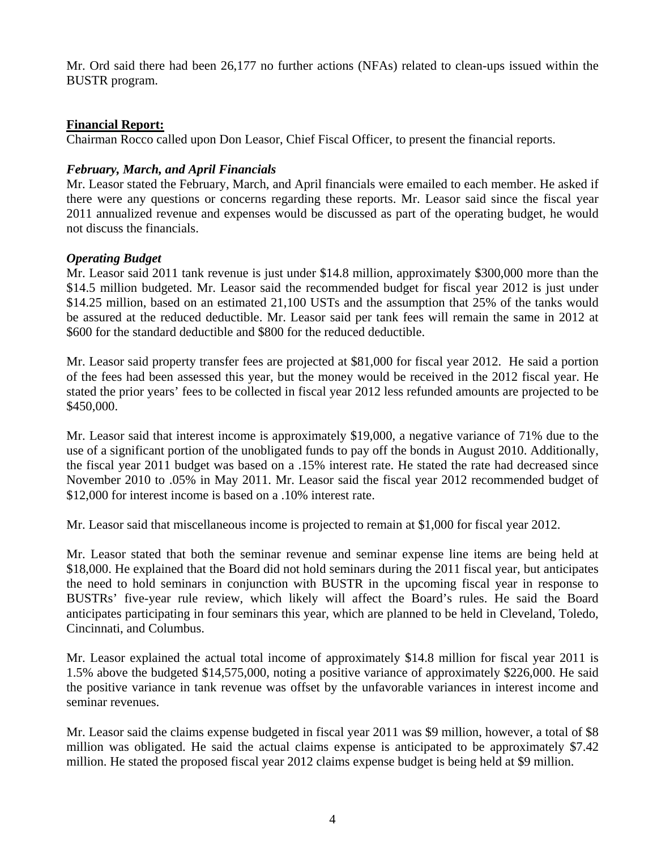Mr. Ord said there had been 26,177 no further actions (NFAs) related to clean-ups issued within the BUSTR program.

## **Financial Report:**

Chairman Rocco called upon Don Leasor, Chief Fiscal Officer, to present the financial reports.

## *February, March, and April Financials*

Mr. Leasor stated the February, March, and April financials were emailed to each member. He asked if there were any questions or concerns regarding these reports. Mr. Leasor said since the fiscal year 2011 annualized revenue and expenses would be discussed as part of the operating budget, he would not discuss the financials.

## *Operating Budget*

Mr. Leasor said 2011 tank revenue is just under \$14.8 million, approximately \$300,000 more than the \$14.5 million budgeted. Mr. Leasor said the recommended budget for fiscal year 2012 is just under \$14.25 million, based on an estimated 21,100 USTs and the assumption that 25% of the tanks would be assured at the reduced deductible. Mr. Leasor said per tank fees will remain the same in 2012 at \$600 for the standard deductible and \$800 for the reduced deductible.

Mr. Leasor said property transfer fees are projected at \$81,000 for fiscal year 2012. He said a portion of the fees had been assessed this year, but the money would be received in the 2012 fiscal year. He stated the prior years' fees to be collected in fiscal year 2012 less refunded amounts are projected to be \$450,000.

Mr. Leasor said that interest income is approximately \$19,000, a negative variance of 71% due to the use of a significant portion of the unobligated funds to pay off the bonds in August 2010. Additionally, the fiscal year 2011 budget was based on a .15% interest rate. He stated the rate had decreased since November 2010 to .05% in May 2011. Mr. Leasor said the fiscal year 2012 recommended budget of \$12,000 for interest income is based on a .10% interest rate.

Mr. Leasor said that miscellaneous income is projected to remain at \$1,000 for fiscal year 2012.

Mr. Leasor stated that both the seminar revenue and seminar expense line items are being held at \$18,000. He explained that the Board did not hold seminars during the 2011 fiscal year, but anticipates the need to hold seminars in conjunction with BUSTR in the upcoming fiscal year in response to BUSTRs' five-year rule review, which likely will affect the Board's rules. He said the Board anticipates participating in four seminars this year, which are planned to be held in Cleveland, Toledo, Cincinnati, and Columbus.

Mr. Leasor explained the actual total income of approximately \$14.8 million for fiscal year 2011 is 1.5% above the budgeted \$14,575,000, noting a positive variance of approximately \$226,000. He said the positive variance in tank revenue was offset by the unfavorable variances in interest income and seminar revenues.

Mr. Leasor said the claims expense budgeted in fiscal year 2011 was \$9 million, however, a total of \$8 million was obligated. He said the actual claims expense is anticipated to be approximately \$7.42 million. He stated the proposed fiscal year 2012 claims expense budget is being held at \$9 million.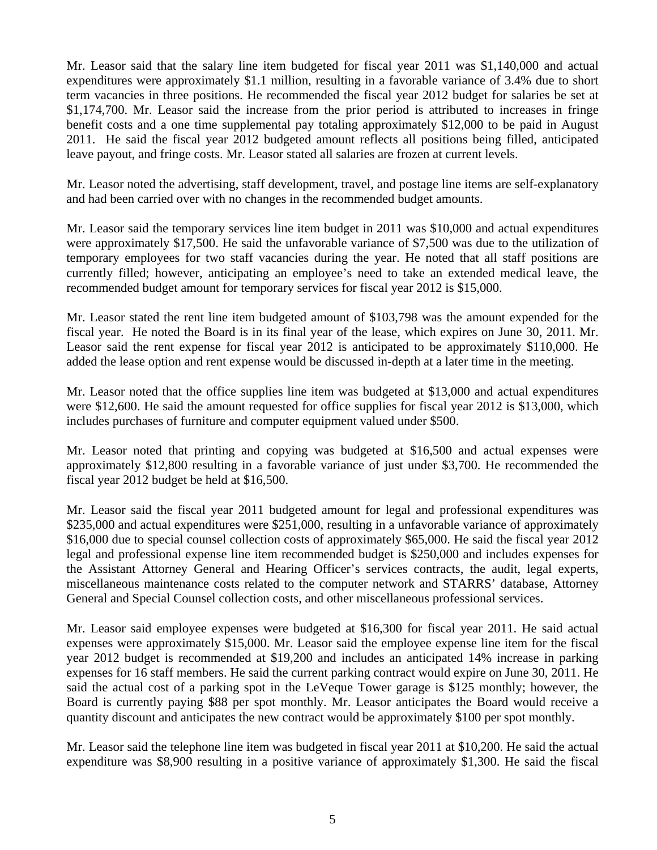Mr. Leasor said that the salary line item budgeted for fiscal year 2011 was \$1,140,000 and actual expenditures were approximately \$1.1 million, resulting in a favorable variance of 3.4% due to short term vacancies in three positions. He recommended the fiscal year 2012 budget for salaries be set at \$1,174,700. Mr. Leasor said the increase from the prior period is attributed to increases in fringe benefit costs and a one time supplemental pay totaling approximately \$12,000 to be paid in August 2011. He said the fiscal year 2012 budgeted amount reflects all positions being filled, anticipated leave payout, and fringe costs. Mr. Leasor stated all salaries are frozen at current levels.

Mr. Leasor noted the advertising, staff development, travel, and postage line items are self-explanatory and had been carried over with no changes in the recommended budget amounts.

Mr. Leasor said the temporary services line item budget in 2011 was \$10,000 and actual expenditures were approximately \$17,500. He said the unfavorable variance of \$7,500 was due to the utilization of temporary employees for two staff vacancies during the year. He noted that all staff positions are currently filled; however, anticipating an employee's need to take an extended medical leave, the recommended budget amount for temporary services for fiscal year 2012 is \$15,000.

Mr. Leasor stated the rent line item budgeted amount of \$103,798 was the amount expended for the fiscal year. He noted the Board is in its final year of the lease, which expires on June 30, 2011. Mr. Leasor said the rent expense for fiscal year 2012 is anticipated to be approximately \$110,000. He added the lease option and rent expense would be discussed in-depth at a later time in the meeting.

Mr. Leasor noted that the office supplies line item was budgeted at \$13,000 and actual expenditures were \$12,600. He said the amount requested for office supplies for fiscal year 2012 is \$13,000, which includes purchases of furniture and computer equipment valued under \$500.

Mr. Leasor noted that printing and copying was budgeted at \$16,500 and actual expenses were approximately \$12,800 resulting in a favorable variance of just under \$3,700. He recommended the fiscal year 2012 budget be held at \$16,500.

Mr. Leasor said the fiscal year 2011 budgeted amount for legal and professional expenditures was \$235,000 and actual expenditures were \$251,000, resulting in a unfavorable variance of approximately \$16,000 due to special counsel collection costs of approximately \$65,000. He said the fiscal year 2012 legal and professional expense line item recommended budget is \$250,000 and includes expenses for the Assistant Attorney General and Hearing Officer's services contracts, the audit, legal experts, miscellaneous maintenance costs related to the computer network and STARRS' database, Attorney General and Special Counsel collection costs, and other miscellaneous professional services.

Mr. Leasor said employee expenses were budgeted at \$16,300 for fiscal year 2011. He said actual expenses were approximately \$15,000. Mr. Leasor said the employee expense line item for the fiscal year 2012 budget is recommended at \$19,200 and includes an anticipated 14% increase in parking expenses for 16 staff members. He said the current parking contract would expire on June 30, 2011. He said the actual cost of a parking spot in the LeVeque Tower garage is \$125 monthly; however, the Board is currently paying \$88 per spot monthly. Mr. Leasor anticipates the Board would receive a quantity discount and anticipates the new contract would be approximately \$100 per spot monthly.

Mr. Leasor said the telephone line item was budgeted in fiscal year 2011 at \$10,200. He said the actual expenditure was \$8,900 resulting in a positive variance of approximately \$1,300. He said the fiscal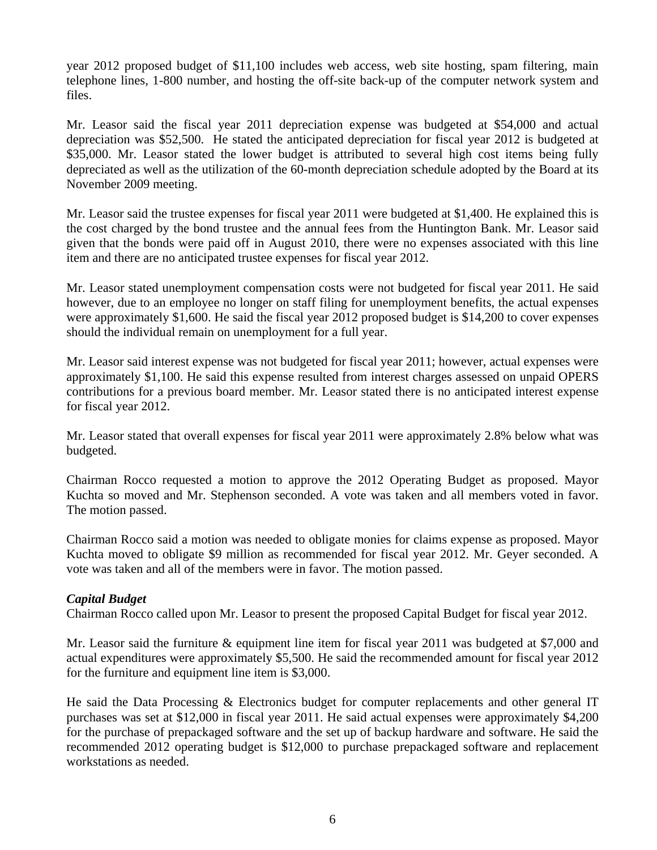year 2012 proposed budget of \$11,100 includes web access, web site hosting, spam filtering, main telephone lines, 1-800 number, and hosting the off-site back-up of the computer network system and files.

Mr. Leasor said the fiscal year 2011 depreciation expense was budgeted at \$54,000 and actual depreciation was \$52,500. He stated the anticipated depreciation for fiscal year 2012 is budgeted at \$35,000. Mr. Leasor stated the lower budget is attributed to several high cost items being fully depreciated as well as the utilization of the 60-month depreciation schedule adopted by the Board at its November 2009 meeting.

Mr. Leasor said the trustee expenses for fiscal year 2011 were budgeted at \$1,400. He explained this is the cost charged by the bond trustee and the annual fees from the Huntington Bank. Mr. Leasor said given that the bonds were paid off in August 2010, there were no expenses associated with this line item and there are no anticipated trustee expenses for fiscal year 2012.

Mr. Leasor stated unemployment compensation costs were not budgeted for fiscal year 2011. He said however, due to an employee no longer on staff filing for unemployment benefits, the actual expenses were approximately \$1,600. He said the fiscal year 2012 proposed budget is \$14,200 to cover expenses should the individual remain on unemployment for a full year.

Mr. Leasor said interest expense was not budgeted for fiscal year 2011; however, actual expenses were approximately \$1,100. He said this expense resulted from interest charges assessed on unpaid OPERS contributions for a previous board member. Mr. Leasor stated there is no anticipated interest expense for fiscal year 2012.

Mr. Leasor stated that overall expenses for fiscal year 2011 were approximately 2.8% below what was budgeted.

Chairman Rocco requested a motion to approve the 2012 Operating Budget as proposed. Mayor Kuchta so moved and Mr. Stephenson seconded. A vote was taken and all members voted in favor. The motion passed.

Chairman Rocco said a motion was needed to obligate monies for claims expense as proposed. Mayor Kuchta moved to obligate \$9 million as recommended for fiscal year 2012. Mr. Geyer seconded. A vote was taken and all of the members were in favor. The motion passed.

# *Capital Budget*

Chairman Rocco called upon Mr. Leasor to present the proposed Capital Budget for fiscal year 2012.

Mr. Leasor said the furniture & equipment line item for fiscal year 2011 was budgeted at \$7,000 and actual expenditures were approximately \$5,500. He said the recommended amount for fiscal year 2012 for the furniture and equipment line item is \$3,000.

He said the Data Processing & Electronics budget for computer replacements and other general IT purchases was set at \$12,000 in fiscal year 2011. He said actual expenses were approximately \$4,200 for the purchase of prepackaged software and the set up of backup hardware and software. He said the recommended 2012 operating budget is \$12,000 to purchase prepackaged software and replacement workstations as needed.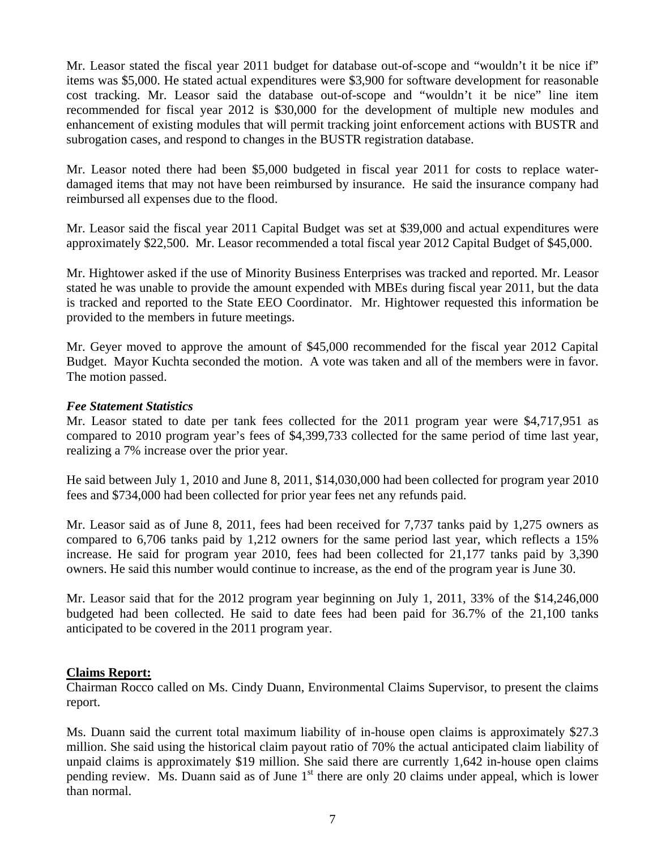Mr. Leasor stated the fiscal year 2011 budget for database out-of-scope and "wouldn't it be nice if" items was \$5,000. He stated actual expenditures were \$3,900 for software development for reasonable cost tracking. Mr. Leasor said the database out-of-scope and "wouldn't it be nice" line item recommended for fiscal year 2012 is \$30,000 for the development of multiple new modules and enhancement of existing modules that will permit tracking joint enforcement actions with BUSTR and subrogation cases, and respond to changes in the BUSTR registration database.

Mr. Leasor noted there had been \$5,000 budgeted in fiscal year 2011 for costs to replace waterdamaged items that may not have been reimbursed by insurance. He said the insurance company had reimbursed all expenses due to the flood.

Mr. Leasor said the fiscal year 2011 Capital Budget was set at \$39,000 and actual expenditures were approximately \$22,500. Mr. Leasor recommended a total fiscal year 2012 Capital Budget of \$45,000.

Mr. Hightower asked if the use of Minority Business Enterprises was tracked and reported. Mr. Leasor stated he was unable to provide the amount expended with MBEs during fiscal year 2011, but the data is tracked and reported to the State EEO Coordinator. Mr. Hightower requested this information be provided to the members in future meetings.

Mr. Geyer moved to approve the amount of \$45,000 recommended for the fiscal year 2012 Capital Budget. Mayor Kuchta seconded the motion. A vote was taken and all of the members were in favor. The motion passed.

#### *Fee Statement Statistics*

Mr. Leasor stated to date per tank fees collected for the 2011 program year were \$4,717,951 as compared to 2010 program year's fees of \$4,399,733 collected for the same period of time last year, realizing a 7% increase over the prior year.

He said between July 1, 2010 and June 8, 2011, \$14,030,000 had been collected for program year 2010 fees and \$734,000 had been collected for prior year fees net any refunds paid.

Mr. Leasor said as of June 8, 2011, fees had been received for 7,737 tanks paid by 1,275 owners as compared to 6,706 tanks paid by 1,212 owners for the same period last year, which reflects a 15% increase. He said for program year 2010, fees had been collected for 21,177 tanks paid by 3,390 owners. He said this number would continue to increase, as the end of the program year is June 30.

Mr. Leasor said that for the 2012 program year beginning on July 1, 2011, 33% of the \$14,246,000 budgeted had been collected. He said to date fees had been paid for 36.7% of the 21,100 tanks anticipated to be covered in the 2011 program year.

#### **Claims Report:**

Chairman Rocco called on Ms. Cindy Duann, Environmental Claims Supervisor, to present the claims report.

Ms. Duann said the current total maximum liability of in-house open claims is approximately \$27.3 million. She said using the historical claim payout ratio of 70% the actual anticipated claim liability of unpaid claims is approximately \$19 million. She said there are currently 1,642 in-house open claims pending review. Ms. Duann said as of June  $1<sup>st</sup>$  there are only 20 claims under appeal, which is lower than normal.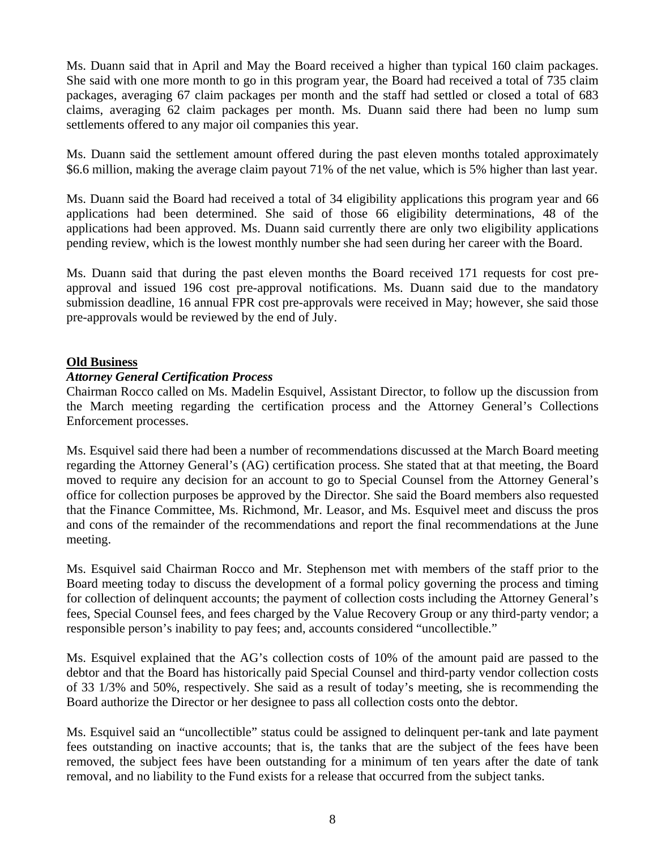Ms. Duann said that in April and May the Board received a higher than typical 160 claim packages. She said with one more month to go in this program year, the Board had received a total of 735 claim packages, averaging 67 claim packages per month and the staff had settled or closed a total of 683 claims, averaging 62 claim packages per month. Ms. Duann said there had been no lump sum settlements offered to any major oil companies this year.

Ms. Duann said the settlement amount offered during the past eleven months totaled approximately \$6.6 million, making the average claim payout 71% of the net value, which is 5% higher than last year.

Ms. Duann said the Board had received a total of 34 eligibility applications this program year and 66 applications had been determined. She said of those 66 eligibility determinations, 48 of the applications had been approved. Ms. Duann said currently there are only two eligibility applications pending review, which is the lowest monthly number she had seen during her career with the Board.

Ms. Duann said that during the past eleven months the Board received 171 requests for cost preapproval and issued 196 cost pre-approval notifications. Ms. Duann said due to the mandatory submission deadline, 16 annual FPR cost pre-approvals were received in May; however, she said those pre-approvals would be reviewed by the end of July.

#### **Old Business**

#### *Attorney General Certification Process*

Chairman Rocco called on Ms. Madelin Esquivel, Assistant Director, to follow up the discussion from the March meeting regarding the certification process and the Attorney General's Collections Enforcement processes.

Ms. Esquivel said there had been a number of recommendations discussed at the March Board meeting regarding the Attorney General's (AG) certification process. She stated that at that meeting, the Board moved to require any decision for an account to go to Special Counsel from the Attorney General's office for collection purposes be approved by the Director. She said the Board members also requested that the Finance Committee, Ms. Richmond, Mr. Leasor, and Ms. Esquivel meet and discuss the pros and cons of the remainder of the recommendations and report the final recommendations at the June meeting.

Ms. Esquivel said Chairman Rocco and Mr. Stephenson met with members of the staff prior to the Board meeting today to discuss the development of a formal policy governing the process and timing for collection of delinquent accounts; the payment of collection costs including the Attorney General's fees, Special Counsel fees, and fees charged by the Value Recovery Group or any third-party vendor; a responsible person's inability to pay fees; and, accounts considered "uncollectible."

Ms. Esquivel explained that the AG's collection costs of 10% of the amount paid are passed to the debtor and that the Board has historically paid Special Counsel and third-party vendor collection costs of 33 1/3% and 50%, respectively. She said as a result of today's meeting, she is recommending the Board authorize the Director or her designee to pass all collection costs onto the debtor.

Ms. Esquivel said an "uncollectible" status could be assigned to delinquent per-tank and late payment fees outstanding on inactive accounts; that is, the tanks that are the subject of the fees have been removed, the subject fees have been outstanding for a minimum of ten years after the date of tank removal, and no liability to the Fund exists for a release that occurred from the subject tanks.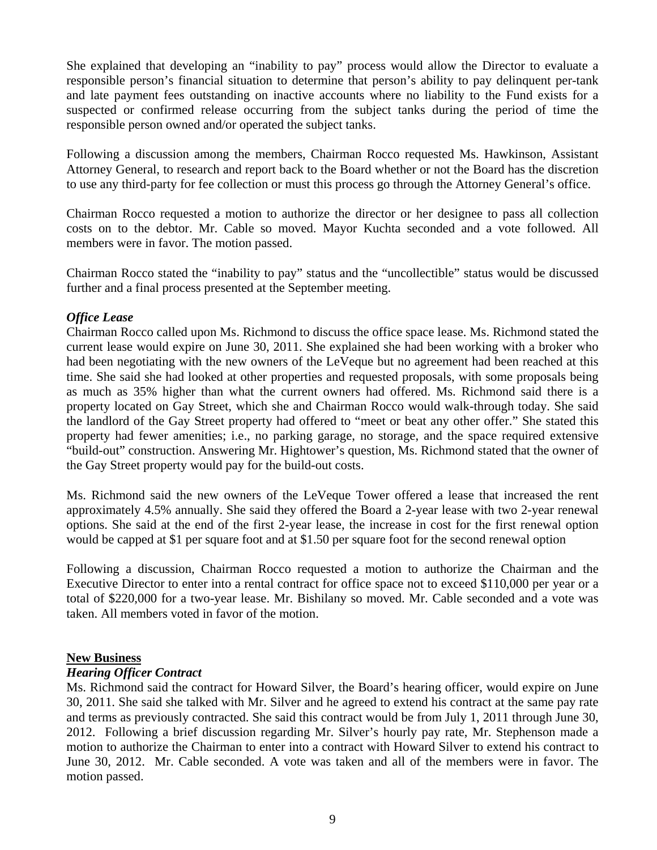She explained that developing an "inability to pay" process would allow the Director to evaluate a responsible person's financial situation to determine that person's ability to pay delinquent per-tank and late payment fees outstanding on inactive accounts where no liability to the Fund exists for a suspected or confirmed release occurring from the subject tanks during the period of time the responsible person owned and/or operated the subject tanks.

Following a discussion among the members, Chairman Rocco requested Ms. Hawkinson, Assistant Attorney General, to research and report back to the Board whether or not the Board has the discretion to use any third-party for fee collection or must this process go through the Attorney General's office.

Chairman Rocco requested a motion to authorize the director or her designee to pass all collection costs on to the debtor. Mr. Cable so moved. Mayor Kuchta seconded and a vote followed. All members were in favor. The motion passed.

Chairman Rocco stated the "inability to pay" status and the "uncollectible" status would be discussed further and a final process presented at the September meeting.

## *Office Lease*

Chairman Rocco called upon Ms. Richmond to discuss the office space lease. Ms. Richmond stated the current lease would expire on June 30, 2011. She explained she had been working with a broker who had been negotiating with the new owners of the LeVeque but no agreement had been reached at this time. She said she had looked at other properties and requested proposals, with some proposals being as much as 35% higher than what the current owners had offered. Ms. Richmond said there is a property located on Gay Street, which she and Chairman Rocco would walk-through today. She said the landlord of the Gay Street property had offered to "meet or beat any other offer." She stated this property had fewer amenities; i.e., no parking garage, no storage, and the space required extensive "build-out" construction. Answering Mr. Hightower's question, Ms. Richmond stated that the owner of the Gay Street property would pay for the build-out costs.

Ms. Richmond said the new owners of the LeVeque Tower offered a lease that increased the rent approximately 4.5% annually. She said they offered the Board a 2-year lease with two 2-year renewal options. She said at the end of the first 2-year lease, the increase in cost for the first renewal option would be capped at \$1 per square foot and at \$1.50 per square foot for the second renewal option

Following a discussion, Chairman Rocco requested a motion to authorize the Chairman and the Executive Director to enter into a rental contract for office space not to exceed \$110,000 per year or a total of \$220,000 for a two-year lease. Mr. Bishilany so moved. Mr. Cable seconded and a vote was taken. All members voted in favor of the motion.

#### **New Business**

#### *Hearing Officer Contract*

Ms. Richmond said the contract for Howard Silver, the Board's hearing officer, would expire on June 30, 2011. She said she talked with Mr. Silver and he agreed to extend his contract at the same pay rate and terms as previously contracted. She said this contract would be from July 1, 2011 through June 30, 2012. Following a brief discussion regarding Mr. Silver's hourly pay rate, Mr. Stephenson made a motion to authorize the Chairman to enter into a contract with Howard Silver to extend his contract to June 30, 2012. Mr. Cable seconded. A vote was taken and all of the members were in favor. The motion passed.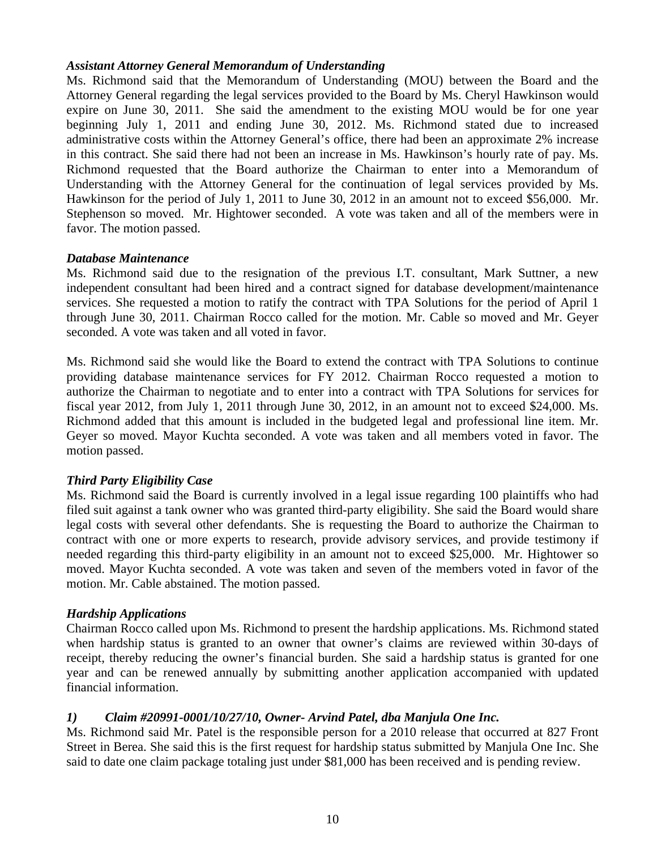#### *Assistant Attorney General Memorandum of Understanding*

Ms. Richmond said that the Memorandum of Understanding (MOU) between the Board and the Attorney General regarding the legal services provided to the Board by Ms. Cheryl Hawkinson would expire on June 30, 2011. She said the amendment to the existing MOU would be for one year beginning July 1, 2011 and ending June 30, 2012. Ms. Richmond stated due to increased administrative costs within the Attorney General's office, there had been an approximate 2% increase in this contract. She said there had not been an increase in Ms. Hawkinson's hourly rate of pay. Ms. Richmond requested that the Board authorize the Chairman to enter into a Memorandum of Understanding with the Attorney General for the continuation of legal services provided by Ms. Hawkinson for the period of July 1, 2011 to June 30, 2012 in an amount not to exceed \$56,000. Mr. Stephenson so moved. Mr. Hightower seconded. A vote was taken and all of the members were in favor. The motion passed.

#### *Database Maintenance*

Ms. Richmond said due to the resignation of the previous I.T. consultant, Mark Suttner, a new independent consultant had been hired and a contract signed for database development/maintenance services. She requested a motion to ratify the contract with TPA Solutions for the period of April 1 through June 30, 2011. Chairman Rocco called for the motion. Mr. Cable so moved and Mr. Geyer seconded. A vote was taken and all voted in favor.

Ms. Richmond said she would like the Board to extend the contract with TPA Solutions to continue providing database maintenance services for FY 2012. Chairman Rocco requested a motion to authorize the Chairman to negotiate and to enter into a contract with TPA Solutions for services for fiscal year 2012, from July 1, 2011 through June 30, 2012, in an amount not to exceed \$24,000. Ms. Richmond added that this amount is included in the budgeted legal and professional line item. Mr. Geyer so moved. Mayor Kuchta seconded. A vote was taken and all members voted in favor. The motion passed.

# *Third Party Eligibility Case*

Ms. Richmond said the Board is currently involved in a legal issue regarding 100 plaintiffs who had filed suit against a tank owner who was granted third-party eligibility. She said the Board would share legal costs with several other defendants. She is requesting the Board to authorize the Chairman to contract with one or more experts to research, provide advisory services, and provide testimony if needed regarding this third-party eligibility in an amount not to exceed \$25,000. Mr. Hightower so moved. Mayor Kuchta seconded. A vote was taken and seven of the members voted in favor of the motion. Mr. Cable abstained. The motion passed.

# *Hardship Applications*

Chairman Rocco called upon Ms. Richmond to present the hardship applications. Ms. Richmond stated when hardship status is granted to an owner that owner's claims are reviewed within 30-days of receipt, thereby reducing the owner's financial burden. She said a hardship status is granted for one year and can be renewed annually by submitting another application accompanied with updated financial information.

# *1) Claim #20991-0001/10/27/10, Owner- Arvind Patel, dba Manjula One Inc.*

Ms. Richmond said Mr. Patel is the responsible person for a 2010 release that occurred at 827 Front Street in Berea. She said this is the first request for hardship status submitted by Manjula One Inc. She said to date one claim package totaling just under \$81,000 has been received and is pending review.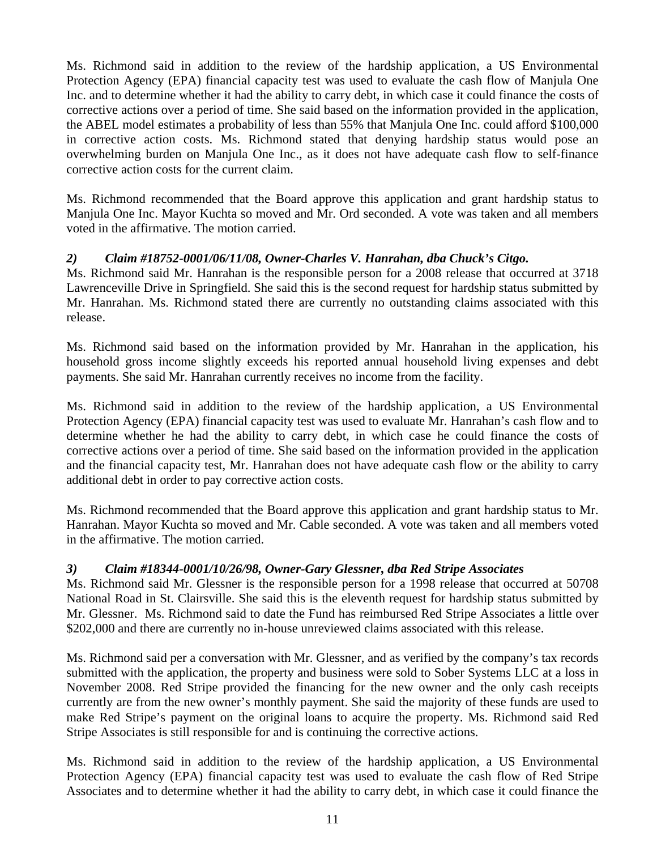Ms. Richmond said in addition to the review of the hardship application, a US Environmental Protection Agency (EPA) financial capacity test was used to evaluate the cash flow of Manjula One Inc. and to determine whether it had the ability to carry debt, in which case it could finance the costs of corrective actions over a period of time. She said based on the information provided in the application, the ABEL model estimates a probability of less than 55% that Manjula One Inc. could afford \$100,000 in corrective action costs. Ms. Richmond stated that denying hardship status would pose an overwhelming burden on Manjula One Inc., as it does not have adequate cash flow to self-finance corrective action costs for the current claim.

Ms. Richmond recommended that the Board approve this application and grant hardship status to Manjula One Inc. Mayor Kuchta so moved and Mr. Ord seconded. A vote was taken and all members voted in the affirmative. The motion carried.

# *2) Claim #18752-0001/06/11/08, Owner-Charles V. Hanrahan, dba Chuck's Citgo.*

Ms. Richmond said Mr. Hanrahan is the responsible person for a 2008 release that occurred at 3718 Lawrenceville Drive in Springfield. She said this is the second request for hardship status submitted by Mr. Hanrahan. Ms. Richmond stated there are currently no outstanding claims associated with this release.

Ms. Richmond said based on the information provided by Mr. Hanrahan in the application, his household gross income slightly exceeds his reported annual household living expenses and debt payments. She said Mr. Hanrahan currently receives no income from the facility.

Ms. Richmond said in addition to the review of the hardship application, a US Environmental Protection Agency (EPA) financial capacity test was used to evaluate Mr. Hanrahan's cash flow and to determine whether he had the ability to carry debt, in which case he could finance the costs of corrective actions over a period of time. She said based on the information provided in the application and the financial capacity test, Mr. Hanrahan does not have adequate cash flow or the ability to carry additional debt in order to pay corrective action costs.

Ms. Richmond recommended that the Board approve this application and grant hardship status to Mr. Hanrahan. Mayor Kuchta so moved and Mr. Cable seconded. A vote was taken and all members voted in the affirmative. The motion carried.

# *3) Claim #18344-0001/10/26/98, Owner-Gary Glessner, dba Red Stripe Associates*

Ms. Richmond said Mr. Glessner is the responsible person for a 1998 release that occurred at 50708 National Road in St. Clairsville. She said this is the eleventh request for hardship status submitted by Mr. Glessner. Ms. Richmond said to date the Fund has reimbursed Red Stripe Associates a little over \$202,000 and there are currently no in-house unreviewed claims associated with this release.

Ms. Richmond said per a conversation with Mr. Glessner, and as verified by the company's tax records submitted with the application, the property and business were sold to Sober Systems LLC at a loss in November 2008. Red Stripe provided the financing for the new owner and the only cash receipts currently are from the new owner's monthly payment. She said the majority of these funds are used to make Red Stripe's payment on the original loans to acquire the property. Ms. Richmond said Red Stripe Associates is still responsible for and is continuing the corrective actions.

Ms. Richmond said in addition to the review of the hardship application, a US Environmental Protection Agency (EPA) financial capacity test was used to evaluate the cash flow of Red Stripe Associates and to determine whether it had the ability to carry debt, in which case it could finance the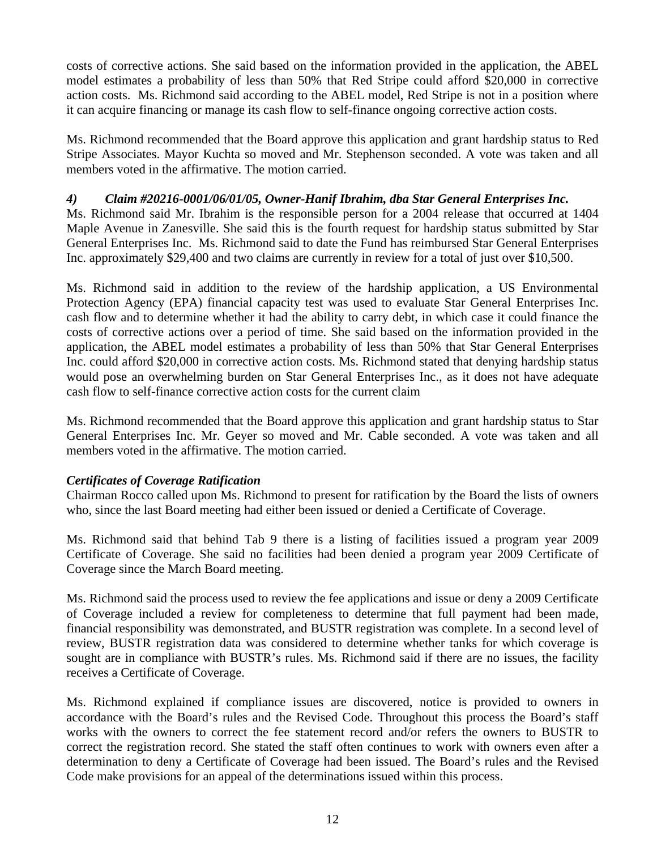costs of corrective actions. She said based on the information provided in the application, the ABEL model estimates a probability of less than 50% that Red Stripe could afford \$20,000 in corrective action costs. Ms. Richmond said according to the ABEL model, Red Stripe is not in a position where it can acquire financing or manage its cash flow to self-finance ongoing corrective action costs.

Ms. Richmond recommended that the Board approve this application and grant hardship status to Red Stripe Associates. Mayor Kuchta so moved and Mr. Stephenson seconded. A vote was taken and all members voted in the affirmative. The motion carried.

# *4) Claim #20216-0001/06/01/05, Owner-Hanif Ibrahim, dba Star General Enterprises Inc.*

Ms. Richmond said Mr. Ibrahim is the responsible person for a 2004 release that occurred at 1404 Maple Avenue in Zanesville. She said this is the fourth request for hardship status submitted by Star General Enterprises Inc. Ms. Richmond said to date the Fund has reimbursed Star General Enterprises Inc. approximately \$29,400 and two claims are currently in review for a total of just over \$10,500.

Ms. Richmond said in addition to the review of the hardship application, a US Environmental Protection Agency (EPA) financial capacity test was used to evaluate Star General Enterprises Inc. cash flow and to determine whether it had the ability to carry debt, in which case it could finance the costs of corrective actions over a period of time. She said based on the information provided in the application, the ABEL model estimates a probability of less than 50% that Star General Enterprises Inc. could afford \$20,000 in corrective action costs. Ms. Richmond stated that denying hardship status would pose an overwhelming burden on Star General Enterprises Inc., as it does not have adequate cash flow to self-finance corrective action costs for the current claim

Ms. Richmond recommended that the Board approve this application and grant hardship status to Star General Enterprises Inc. Mr. Geyer so moved and Mr. Cable seconded. A vote was taken and all members voted in the affirmative. The motion carried.

#### *Certificates of Coverage Ratification*

Chairman Rocco called upon Ms. Richmond to present for ratification by the Board the lists of owners who, since the last Board meeting had either been issued or denied a Certificate of Coverage.

Ms. Richmond said that behind Tab 9 there is a listing of facilities issued a program year 2009 Certificate of Coverage. She said no facilities had been denied a program year 2009 Certificate of Coverage since the March Board meeting.

Ms. Richmond said the process used to review the fee applications and issue or deny a 2009 Certificate of Coverage included a review for completeness to determine that full payment had been made, financial responsibility was demonstrated, and BUSTR registration was complete. In a second level of review, BUSTR registration data was considered to determine whether tanks for which coverage is sought are in compliance with BUSTR's rules. Ms. Richmond said if there are no issues, the facility receives a Certificate of Coverage.

Ms. Richmond explained if compliance issues are discovered, notice is provided to owners in accordance with the Board's rules and the Revised Code. Throughout this process the Board's staff works with the owners to correct the fee statement record and/or refers the owners to BUSTR to correct the registration record. She stated the staff often continues to work with owners even after a determination to deny a Certificate of Coverage had been issued. The Board's rules and the Revised Code make provisions for an appeal of the determinations issued within this process.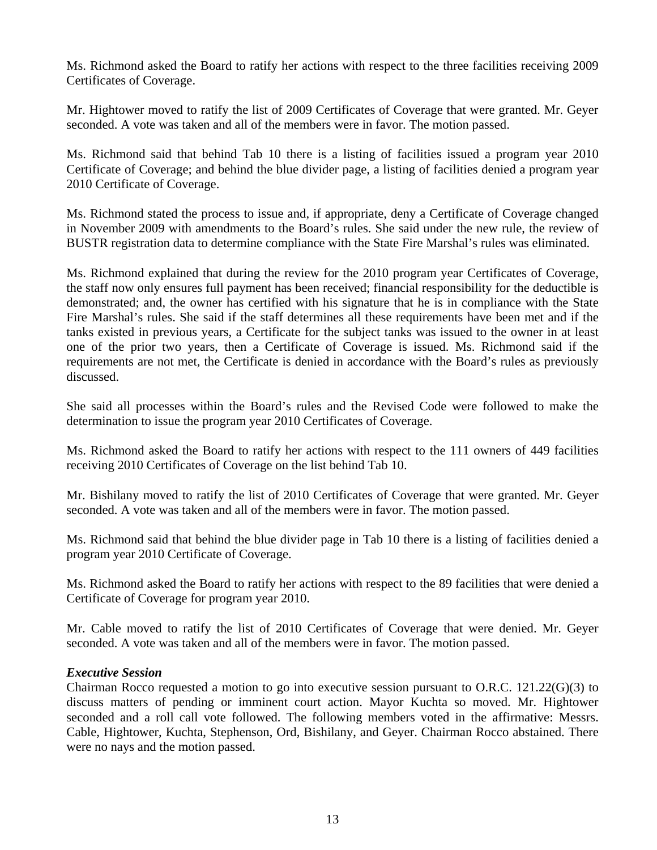Ms. Richmond asked the Board to ratify her actions with respect to the three facilities receiving 2009 Certificates of Coverage.

Mr. Hightower moved to ratify the list of 2009 Certificates of Coverage that were granted. Mr. Geyer seconded. A vote was taken and all of the members were in favor. The motion passed.

Ms. Richmond said that behind Tab 10 there is a listing of facilities issued a program year 2010 Certificate of Coverage; and behind the blue divider page, a listing of facilities denied a program year 2010 Certificate of Coverage.

Ms. Richmond stated the process to issue and, if appropriate, deny a Certificate of Coverage changed in November 2009 with amendments to the Board's rules. She said under the new rule, the review of BUSTR registration data to determine compliance with the State Fire Marshal's rules was eliminated.

Ms. Richmond explained that during the review for the 2010 program year Certificates of Coverage, the staff now only ensures full payment has been received; financial responsibility for the deductible is demonstrated; and, the owner has certified with his signature that he is in compliance with the State Fire Marshal's rules. She said if the staff determines all these requirements have been met and if the tanks existed in previous years, a Certificate for the subject tanks was issued to the owner in at least one of the prior two years, then a Certificate of Coverage is issued. Ms. Richmond said if the requirements are not met, the Certificate is denied in accordance with the Board's rules as previously discussed.

She said all processes within the Board's rules and the Revised Code were followed to make the determination to issue the program year 2010 Certificates of Coverage.

Ms. Richmond asked the Board to ratify her actions with respect to the 111 owners of 449 facilities receiving 2010 Certificates of Coverage on the list behind Tab 10.

Mr. Bishilany moved to ratify the list of 2010 Certificates of Coverage that were granted. Mr. Geyer seconded. A vote was taken and all of the members were in favor. The motion passed.

Ms. Richmond said that behind the blue divider page in Tab 10 there is a listing of facilities denied a program year 2010 Certificate of Coverage.

Ms. Richmond asked the Board to ratify her actions with respect to the 89 facilities that were denied a Certificate of Coverage for program year 2010.

Mr. Cable moved to ratify the list of 2010 Certificates of Coverage that were denied. Mr. Geyer seconded. A vote was taken and all of the members were in favor. The motion passed.

#### *Executive Session*

Chairman Rocco requested a motion to go into executive session pursuant to O.R.C. 121.22(G)(3) to discuss matters of pending or imminent court action. Mayor Kuchta so moved. Mr. Hightower seconded and a roll call vote followed. The following members voted in the affirmative: Messrs. Cable, Hightower, Kuchta, Stephenson, Ord, Bishilany, and Geyer. Chairman Rocco abstained. There were no nays and the motion passed.